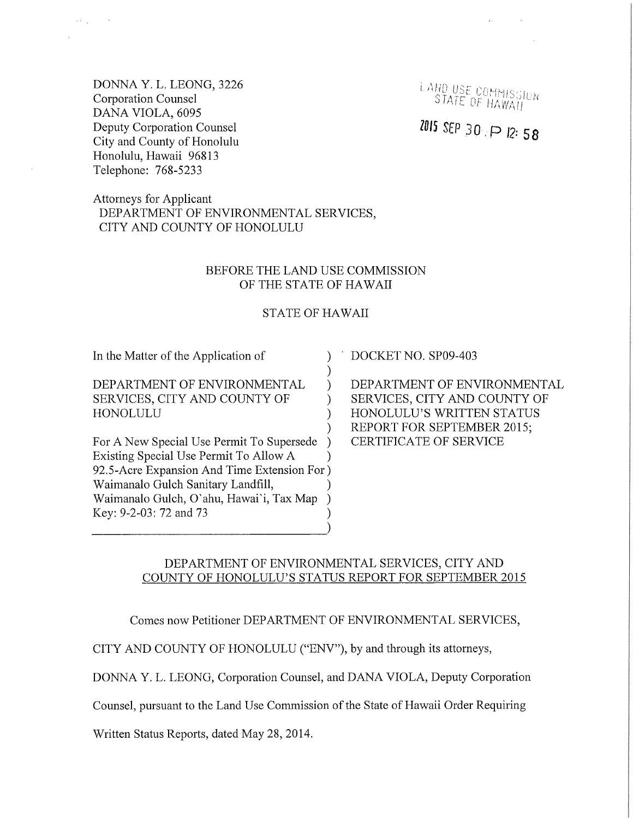DONNA Y. L. LEONG, 3226 Corporation Counsel DANA VIOLA, 6095 Deputy Corporation Counsel City and County of Honolulu Honolulu, Hawaii 96813 Telephone: 768-5233

LAND USE COMMISSION STATE OF HAWAII

# $2015$  SEP 30  $\cdot$  P 12:58

Attorneys for Applicant DEPARTMENT OF ENVIRONMENTAL SERVICES, CITY AND COUNTY OF HONOLULU

#### BEFORE THE LAND USE COMMISSION OF THE STATE OF HAWAII

#### STATE OF HAWAII

) ) )

) ) )

In the Matter of the Application of

DEPARTMENT OF ENVIRONMENTAL SERVICES, CITY AND COUNTY OF HONOLULU

For A New Special Use Permit To Supersede Existing Special Use Permit To Allow A ) ) 92.5-Acre Expansion And Time Extension For ) Waimanalo Gulch Sanitary Landfill, ) Waimanalo Gulch, O'ahu, Hawai'i, Tax Map ) Key: 9-2-03: 72 and 73 ) DOCKET NO. SP09-403

DEPARTMENT OF ENVIRONMENTAL SERVICES, CITY AND COUNTY OF HONOLULU'S WRITTEN STATUS REPORT FOR SEPTEMBER 2015; CERTIFICATE OF SERVICE

### DEPARTMENT OF ENVIRONMENTAL SERVICES, CITY AND COUNTY OF HONOLULU'S STATUS REPORT FOR SEPTEMBER 2015

Comes now Petitioner DEPARTMENT OF ENVIRONMENTAL SERVICES,

CITY AND COUNTY OF HONOLULU ("ENV"), by and through its attorneys,

DONNA Y. L. LEONG, Corporation Counsel, and DANA VIOLA, Deputy Corporation

Counsel, pursuant to the Land Use Commission of the State of Hawaii Order Requiring

Written Status Reports, dated May 28, 2014.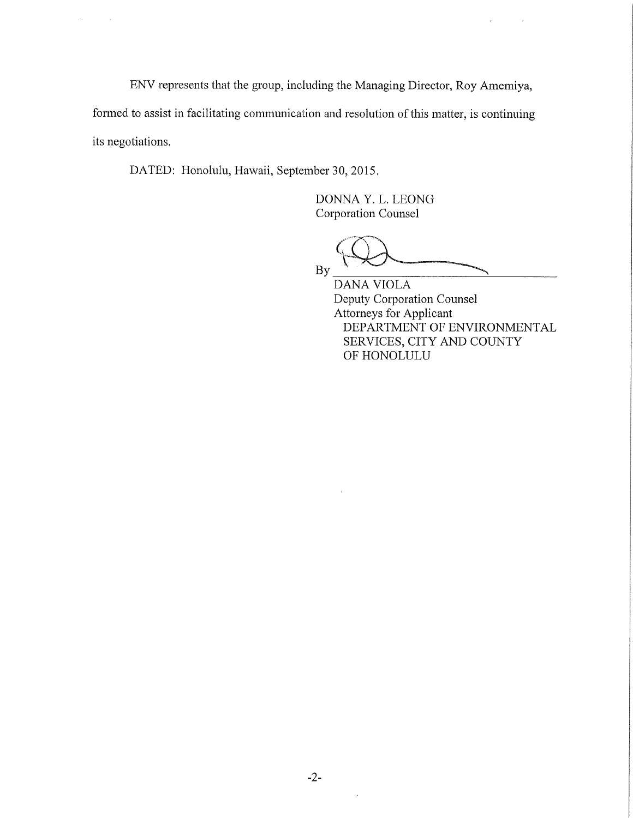ENV represents that the group, including the Managing Director, Roy Amemiya,

formed to assist in facilitating communication and resolution of this matter, is continuing its negotiations.

DATED: Honolulu, Hawaii, September 30, 2015.

 $\sim$   $\lambda$ 

DONNA Y. L. LEONG Corporation Counsel

By

 $\bar{t}$ 

 $\langle \cdot, \cdot \rangle$ 

DANA VIOLA Deputy Corporation Counsel Attorneys for Applicant DEPARTMENT OF ENVIRONMENTAL SERVICES, CITY AND COUNTY OF HONOLULU

 $\bar{a}$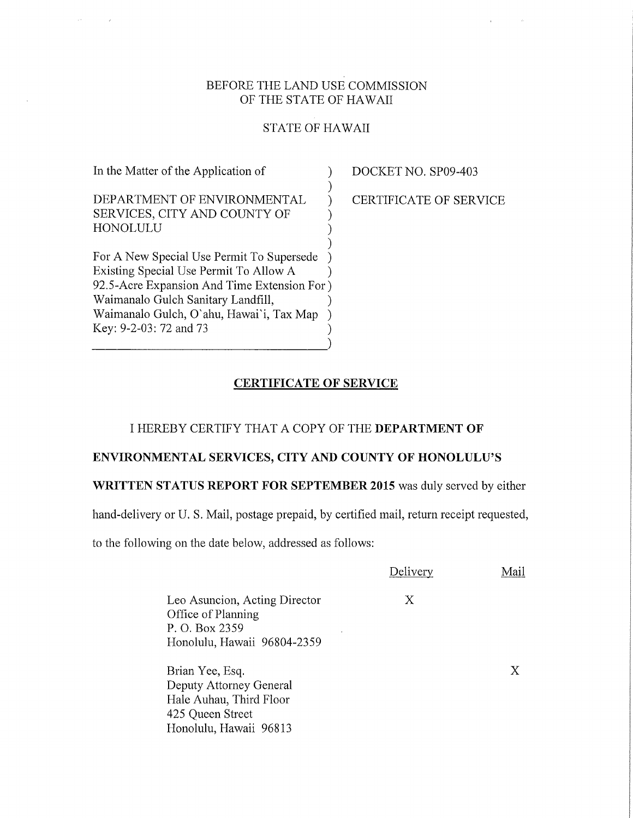# BEFORE THE LAND USE COMMISSION OF THE STATE OF HAWAII

# STATE OF HAWAII

| DEPARTMENT OF ENVIRONMENTAL<br>SERVICES, CITY AND COUNTY OF<br>HONOLULU<br>For A New Special Use Permit To Supersede<br>Existing Special Use Permit To Allow A<br>92.5-Acre Expansion And Time Extension For)<br>Waimanalo Gulch Sanitary Landfill,<br>Waimanalo Gulch, O'ahu, Hawai'i, Tax Map | In the Matter of the Application of |  |
|-------------------------------------------------------------------------------------------------------------------------------------------------------------------------------------------------------------------------------------------------------------------------------------------------|-------------------------------------|--|
|                                                                                                                                                                                                                                                                                                 |                                     |  |
|                                                                                                                                                                                                                                                                                                 | Key: 9-2-03: 72 and 73              |  |

 $\sim$ 

DOCKET NO. SP09-403

CERTIFICATE OF SERVICE

# CERTIFICATE OF SERVICE

### I HEREBY CERTIFY THAT A COPY OF THE DEPARTMENT OF

#### ENVIRONMENTAL SERVICES, CITY AND COUNTY OF HONOLULU'S

# WRITTEN STATUS REPORT FOR SEPTEMBER 2015 was duly served by either

hand-delivery or U. S. Mail, postage prepaid, by certified mail, return receipt requested,

to the following on the date below, addressed as follows:

|                                                                       | Delivery | Mail |
|-----------------------------------------------------------------------|----------|------|
| Leo Asuncion, Acting Director<br>Office of Planning<br>P. O. Box 2359 | Х        |      |
| Honolulu, Hawaii 96804-2359                                           |          |      |
| Brian Yee, Esq.                                                       |          | X    |
| Deputy Attorney General                                               |          |      |
| Hale Auhau, Third Floor                                               |          |      |
| 425 Queen Street                                                      |          |      |
| Honolulu, Hawaii 96813                                                |          |      |